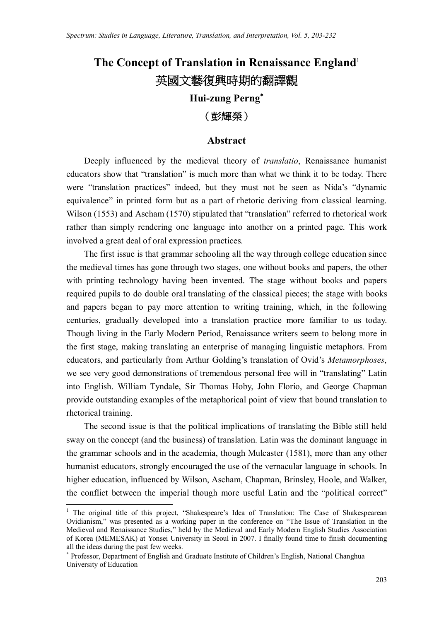# **The Concept of Translation in Renaissance England**<sup>1</sup> **英國文藝復興時期的翻譯觀**

# **Hui-zung Perng**

# **(彭輝榮)**

## **Abstract**

Deeply influenced by the medieval theory of *translatio*, Renaissance humanist educators show that "translation" is much more than what we think it to be today. There were "translation practices" indeed, but they must not be seen as Nida's "dynamic equivalence" in printed form but as a part of rhetoric deriving from classical learning. Wilson (1553) and Ascham (1570) stipulated that "translation" referred to rhetorical work rather than simply rendering one language into another on a printed page. This work involved a great deal of oral expression practices.

The first issue is that grammar schooling all the way through college education since the medieval times has gone through two stages, one without books and papers, the other with printing technology having been invented. The stage without books and papers required pupils to do double oral translating of the classical pieces; the stage with books and papers began to pay more attention to writing training, which, in the following centuries, gradually developed into a translation practice more familiar to us today. Though living in the Early Modern Period, Renaissance writers seem to belong more in the first stage, making translating an enterprise of managing linguistic metaphors. From educators, and particularly from Arthur Golding's translation of Ovid's *Metamorphoses*, we see very good demonstrations of tremendous personal free will in "translating" Latin into English. William Tyndale, Sir Thomas Hoby, John Florio, and George Chapman provide outstanding examples of the metaphorical point of view that bound translation to rhetorical training.

The second issue is that the political implications of translating the Bible still held sway on the concept (and the business) of translation. Latin was the dominant language in the grammar schools and in the academia, though Mulcaster (1581), more than any other humanist educators, strongly encouraged the use of the vernacular language in schools. In higher education, influenced by Wilson, Ascham, Chapman, Brinsley, Hoole, and Walker, the conflict between the imperial though more useful Latin and the "political correct"

<sup>&</sup>lt;sup>1</sup> The original title of this project, "Shakespeare's Idea of Translation: The Case of Shakespearean Ovidianism," was presented as a working paper in the conference on "The Issue of Translation in the Medieval and Renaissance Studies," held by the Medieval and Early Modern English Studies Association of Korea (MEMESAK) at Yonsei University in Seoul in 2007. I finally found time to finish documenting all the ideas during the past few weeks.

 Professor, Department of English and Graduate Institute of Children's English, National Changhua University of Education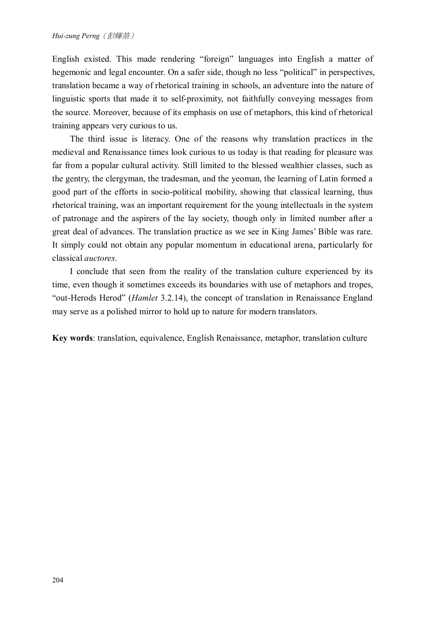English existed. This made rendering "foreign" languages into English a matter of hegemonic and legal encounter. On a safer side, though no less "political" in perspectives, translation became a way of rhetorical training in schools, an adventure into the nature of linguistic sports that made it to self-proximity, not faithfully conveying messages from the source. Moreover, because of its emphasis on use of metaphors, this kind of rhetorical training appears very curious to us.

The third issue is literacy. One of the reasons why translation practices in the medieval and Renaissance times look curious to us today is that reading for pleasure was far from a popular cultural activity. Still limited to the blessed wealthier classes, such as the gentry, the clergyman, the tradesman, and the yeoman, the learning of Latin formed a good part of the efforts in socio-political mobility, showing that classical learning, thus rhetorical training, was an important requirement for the young intellectuals in the system of patronage and the aspirers of the lay society, though only in limited number after a great deal of advances. The translation practice as we see in King James' Bible was rare. It simply could not obtain any popular momentum in educational arena, particularly for classical *auctores*.

I conclude that seen from the reality of the translation culture experienced by its time, even though it sometimes exceeds its boundaries with use of metaphors and tropes, "out-Herods Herod" (*Hamlet* 3.2.14), the concept of translation in Renaissance England may serve as a polished mirror to hold up to nature for modern translators.

**Key words**: translation, equivalence, English Renaissance, metaphor, translation culture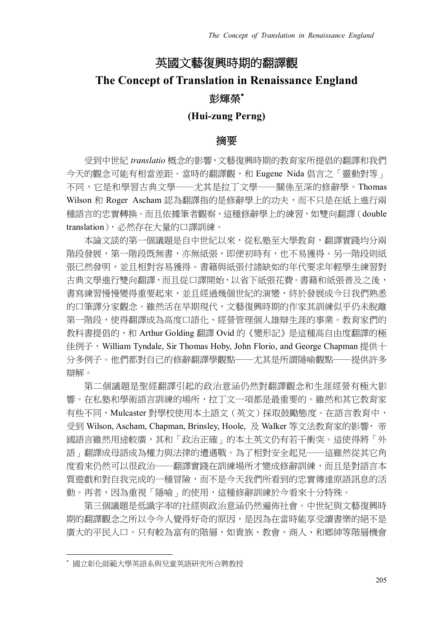# **英國文藝復興時期的翻譯觀**

# **The Concept of Translation in Renaissance England 彭輝榮**

# **(Hui-zung Perng)**

## **摘要**

受到中世紀 *translatio* 概念的影響,文藝復興時期的教育家所提倡的翻譯和我們 今天的觀念可能有相當差距。當時的翻譯觀,和 Eugene Nida 倡言之「靈動對等」 不同,它是和學習古典文學——尤其是拉丁文學——關係至深的修辭學。Thomas Wilson 和 Roger Ascham 認為翻譯指的是修辭學上的功夫,而不只是在紙上進行兩 種語言的忠實轉換。而且依據筆者觀察,這種修辭學上的練習,如雙向翻譯(double translation),必然存在大量的口譯訓練。

本論文談的第一個議題是自中世紀以來,從私塾至大學教育,翻譯實踐均分兩 階段發展,第一階段既無書,亦無紙張,即便初時有,也不易獲得。另一階段則紙 張已然發明,並且相對容易獲得。書籍與紙張付諸缺如的年代要求年輕學生練習對 古典文學進行雙向翻譯,而且從口譯開始,以省下紙張花費。書籍和紙張普及之後, 書寫練習慢慢變得重要起來,並且經過幾個世紀的演變,終於發展成今日我們熟悉 的口筆譯分家觀念。雖然活在早期現代,文藝復興時期的作家其訓練似乎仍未脫離 第一階段,使得翻譯成為高度口語化、經營管理個人雄辯生涯的事業。教育家們的 教科書提倡的,和 Arthur Golding 翻譯 Ovid 的《變形記》是這種高自由度翻譯的極 佳例子, William Tyndale, Sir Thomas Hoby, John Florio, and George Chapman 提供十 分多例子。他們都對自己的修辭翻譯學觀點——尤其是所謂隱喻觀點——提供許多 辯解。

第二個議題是聖經翻譯引起的政治意涵仍然對翻譯觀念和生涯經營有極大影 響。在私塾和學術語言訓練的場所,拉丁文一項都是最重要的。雖然和其它教育家 有些不同,Mulcaster 對學校使用本土語文 (英文)採取鼓勵態度。在語言教育中, 受到 Wilson, Ascham, Chapman, Brinsley, Hoole, 及 Walker 等文法教育家的影響, 帝 國語言雖然用途較廣,其和「政治正確」的本土英文仍有若干衝突。這使得將「外 語」翻譯成母語成為權力與法律的遭遇戰。為了相對安全起見──這雖然從其它角 度看來仍然可以很政治——翻譯實踐在訓練場所才變成修辭訓練,而且是對語言本 質遊戲和對自我完成的一種冒險,而不是今天我們所看到的忠實傳達原語訊息的活 動。再者,因為重視「隱喻」的使用,這種修辭訓練於今看來十分特殊。

第三個議題是低識字率的社經與政治意涵仍然遍佈社會。中世紀與文藝復興時 期的翻譯觀念之所以令今人覺得好奇的原因,是因為在當時能享受讀書樂的絕不是 廣大的平民人口。只有較為富有的階層,如貴族、教會、商人、和鄉紳等階層機會

國立彰化師範大學英語系與兒童英語研究所合聘教授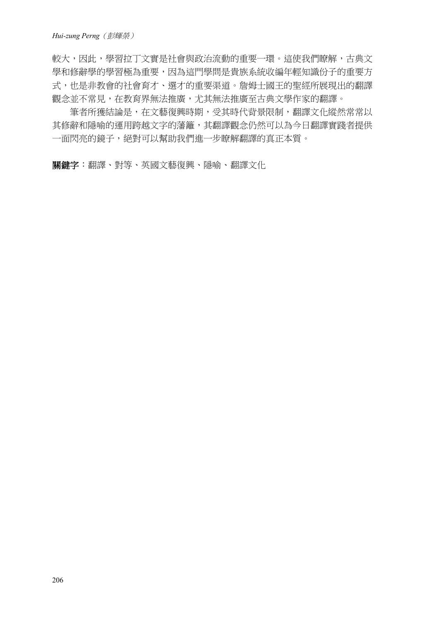較大,因此,學習拉丁文實是社會與政治流動的重要一環。這使我們瞭解,古典文 學和修辭學的學習極為重要,因為這門學問是貴族系統收編年輕知識份子的重要方 式,也是非教會的社會育才、選才的重要渠道。詹姆士國王的聖經所展現出的翻譯 觀念並不常見,在教育界無法推廣,尤其無法推廣至古典文學作家的翻譯。

筆者所獲結論是,在文藝復興時期,受其時代背景限制,翻譯文化縱然常常以 其修辭和隱喻的運用跨越文字的藩籬,其翻譯觀念仍然可以為今日翻譯實踐者提供 一面閃亮的鏡子,絕對可以幫助我們進一步瞭解翻譯的真正本質。

**關鍵字**:翻譯、對等、英國文藝復興、隱喻、翻譯文化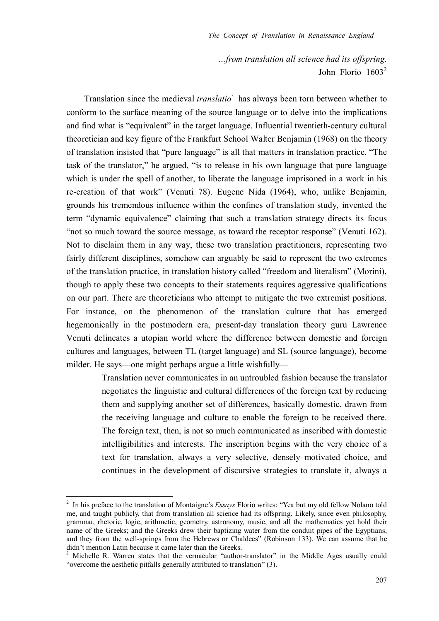*…from translation all science had its offspring.*  John Florio  $1603^2$ 

Translation since the medieval *translatio*<sup>3</sup> has always been torn between whether to conform to the surface meaning of the source language or to delve into the implications and find what is "equivalent" in the target language. Influential twentieth-century cultural theoretician and key figure of the Frankfurt School Walter Benjamin (1968) on the theory of translation insisted that "pure language" is all that matters in translation practice. "The task of the translator," he argued, "is to release in his own language that pure language which is under the spell of another, to liberate the language imprisoned in a work in his re-creation of that work" (Venuti 78). Eugene Nida (1964), who, unlike Benjamin, grounds his tremendous influence within the confines of translation study, invented the term "dynamic equivalence" claiming that such a translation strategy directs its focus "not so much toward the source message, as toward the receptor response" (Venuti 162). Not to disclaim them in any way, these two translation practitioners, representing two fairly different disciplines, somehow can arguably be said to represent the two extremes of the translation practice, in translation history called "freedom and literalism" (Morini), though to apply these two concepts to their statements requires aggressive qualifications on our part. There are theoreticians who attempt to mitigate the two extremist positions. For instance, on the phenomenon of the translation culture that has emerged hegemonically in the postmodern era, present-day translation theory guru Lawrence Venuti delineates a utopian world where the difference between domestic and foreign cultures and languages, between TL (target language) and SL (source language), become milder. He says—one might perhaps argue a little wishfully—

> Translation never communicates in an untroubled fashion because the translator negotiates the linguistic and cultural differences of the foreign text by reducing them and supplying another set of differences, basically domestic, drawn from the receiving language and culture to enable the foreign to be received there. The foreign text, then, is not so much communicated as inscribed with domestic intelligibilities and interests. The inscription begins with the very choice of a text for translation, always a very selective, densely motivated choice, and continues in the development of discursive strategies to translate it, always a

<sup>&</sup>lt;sup>2</sup> In his preface to the translation of Montaigne's *Essays* Florio writes: "Yea but my old fellow Nolano told me, and taught publicly, that from translation all science had its offspring. Likely, since even philosophy, grammar, rhetoric, logic, arithmetic, geometry, astronomy, music, and all the mathematics yet hold their name of the Greeks; and the Greeks drew their baptizing water from the conduit pipes of the Egyptians, and they from the well-springs from the Hebrews or Chaldees" (Robinson 133). We can assume that he didn't mention Latin because it came later than the Greeks.

<sup>&</sup>lt;sup>3</sup> Michelle R. Warren states that the vernacular "author-translator" in the Middle Ages usually could "overcome the aesthetic pitfalls generally attributed to translation" (3).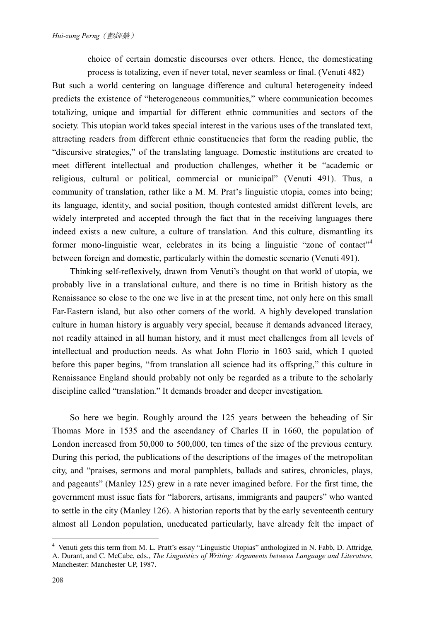choice of certain domestic discourses over others. Hence, the domesticating process is totalizing, even if never total, never seamless or final. (Venuti 482)

But such a world centering on language difference and cultural heterogeneity indeed predicts the existence of "heterogeneous communities," where communication becomes totalizing, unique and impartial for different ethnic communities and sectors of the society. This utopian world takes special interest in the various uses of the translated text, attracting readers from different ethnic constituencies that form the reading public, the "discursive strategies," of the translating language. Domestic institutions are created to meet different intellectual and production challenges, whether it be "academic or religious, cultural or political, commercial or municipal" (Venuti 491). Thus, a community of translation, rather like a M. M. Prat's linguistic utopia, comes into being; its language, identity, and social position, though contested amidst different levels, are widely interpreted and accepted through the fact that in the receiving languages there indeed exists a new culture, a culture of translation. And this culture, dismantling its former mono-linguistic wear, celebrates in its being a linguistic "zone of contact"<sup>4</sup> between foreign and domestic, particularly within the domestic scenario (Venuti 491).

Thinking self-reflexively, drawn from Venuti's thought on that world of utopia, we probably live in a translational culture, and there is no time in British history as the Renaissance so close to the one we live in at the present time, not only here on this small Far-Eastern island, but also other corners of the world. A highly developed translation culture in human history is arguably very special, because it demands advanced literacy, not readily attained in all human history, and it must meet challenges from all levels of intellectual and production needs. As what John Florio in 1603 said, which I quoted before this paper begins, "from translation all science had its offspring," this culture in Renaissance England should probably not only be regarded as a tribute to the scholarly discipline called "translation." It demands broader and deeper investigation.

So here we begin. Roughly around the 125 years between the beheading of Sir Thomas More in 1535 and the ascendancy of Charles II in 1660, the population of London increased from 50,000 to 500,000, ten times of the size of the previous century. During this period, the publications of the descriptions of the images of the metropolitan city, and "praises, sermons and moral pamphlets, ballads and satires, chronicles, plays, and pageants" (Manley 125) grew in a rate never imagined before. For the first time, the government must issue fiats for "laborers, artisans, immigrants and paupers" who wanted to settle in the city (Manley 126). A historian reports that by the early seventeenth century almost all London population, uneducated particularly, have already felt the impact of

<sup>&</sup>lt;sup>4</sup> Venuti gets this term from M. L. Pratt's essay "Linguistic Utopias" anthologized in N. Fabb, D. Attridge, A. Durant, and C. McCabe, eds., *The Linguistics of Writing: Arguments between Language and Literature*, Manchester: Manchester UP, 1987.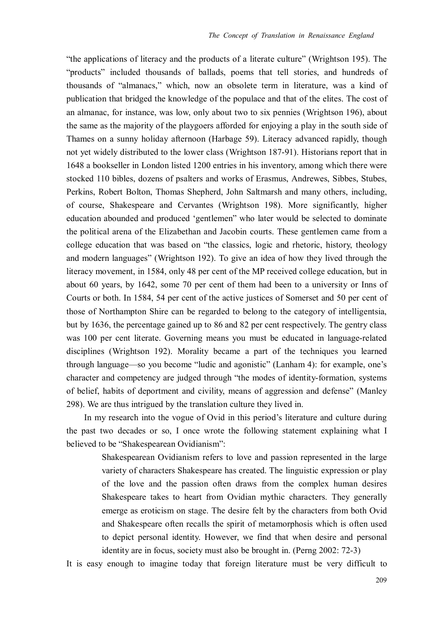"the applications of literacy and the products of a literate culture" (Wrightson 195). The "products" included thousands of ballads, poems that tell stories, and hundreds of thousands of "almanacs," which, now an obsolete term in literature, was a kind of publication that bridged the knowledge of the populace and that of the elites. The cost of an almanac, for instance, was low, only about two to six pennies (Wrightson 196), about the same as the majority of the playgoers afforded for enjoying a play in the south side of Thames on a sunny holiday afternoon (Harbage 59). Literacy advanced rapidly, though not yet widely distributed to the lower class (Wrightson 187-91). Historians report that in 1648 a bookseller in London listed 1200 entries in his inventory, among which there were stocked 110 bibles, dozens of psalters and works of Erasmus, Andrewes, Sibbes, Stubes, Perkins, Robert Bolton, Thomas Shepherd, John Saltmarsh and many others, including, of course, Shakespeare and Cervantes (Wrightson 198). More significantly, higher education abounded and produced 'gentlemen" who later would be selected to dominate the political arena of the Elizabethan and Jacobin courts. These gentlemen came from a college education that was based on "the classics, logic and rhetoric, history, theology and modern languages" (Wrightson 192). To give an idea of how they lived through the literacy movement, in 1584, only 48 per cent of the MP received college education, but in about 60 years, by 1642, some 70 per cent of them had been to a university or Inns of Courts or both. In 1584, 54 per cent of the active justices of Somerset and 50 per cent of those of Northampton Shire can be regarded to belong to the category of intelligentsia, but by 1636, the percentage gained up to 86 and 82 per cent respectively. The gentry class was 100 per cent literate. Governing means you must be educated in language-related disciplines (Wrightson 192). Morality became a part of the techniques you learned through language—so you become "ludic and agonistic" (Lanham 4): for example, one's character and competency are judged through "the modes of identity-formation, systems of belief, habits of deportment and civility, means of aggression and defense" (Manley 298). We are thus intrigued by the translation culture they lived in.

In my research into the vogue of Ovid in this period's literature and culture during the past two decades or so, I once wrote the following statement explaining what I believed to be "Shakespearean Ovidianism":

> Shakespearean Ovidianism refers to love and passion represented in the large variety of characters Shakespeare has created. The linguistic expression or play of the love and the passion often draws from the complex human desires Shakespeare takes to heart from Ovidian mythic characters. They generally emerge as eroticism on stage. The desire felt by the characters from both Ovid and Shakespeare often recalls the spirit of metamorphosis which is often used to depict personal identity. However, we find that when desire and personal identity are in focus, society must also be brought in. (Perng 2002: 72-3)

It is easy enough to imagine today that foreign literature must be very difficult to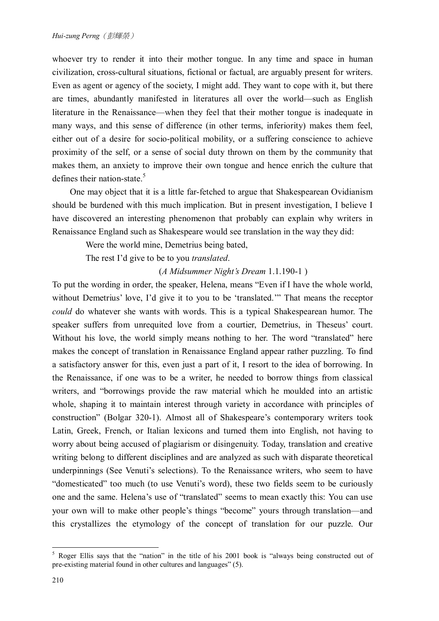whoever try to render it into their mother tongue. In any time and space in human civilization, cross-cultural situations, fictional or factual, are arguably present for writers. Even as agent or agency of the society, I might add. They want to cope with it, but there are times, abundantly manifested in literatures all over the world—such as English literature in the Renaissance—when they feel that their mother tongue is inadequate in many ways, and this sense of difference (in other terms, inferiority) makes them feel, either out of a desire for socio-political mobility, or a suffering conscience to achieve proximity of the self, or a sense of social duty thrown on them by the community that makes them, an anxiety to improve their own tongue and hence enrich the culture that defines their nation-state.<sup>5</sup>

 One may object that it is a little far-fetched to argue that Shakespearean Ovidianism should be burdened with this much implication. But in present investigation, I believe I have discovered an interesting phenomenon that probably can explain why writers in Renaissance England such as Shakespeare would see translation in the way they did:

Were the world mine, Demetrius being bated,

The rest I'd give to be to you *translated*.

(*A Midsummer Night's Dream* 1.1.190-1 )

To put the wording in order, the speaker, Helena, means "Even if I have the whole world, without Demetrius' love, I'd give it to you to be 'translated.'" That means the receptor *could* do whatever she wants with words. This is a typical Shakespearean humor. The speaker suffers from unrequited love from a courtier, Demetrius, in Theseus' court. Without his love, the world simply means nothing to her. The word "translated" here makes the concept of translation in Renaissance England appear rather puzzling. To find a satisfactory answer for this, even just a part of it, I resort to the idea of borrowing. In the Renaissance, if one was to be a writer, he needed to borrow things from classical writers, and "borrowings provide the raw material which he moulded into an artistic whole, shaping it to maintain interest through variety in accordance with principles of construction" (Bolgar 320-1). Almost all of Shakespeare's contemporary writers took Latin, Greek, French, or Italian lexicons and turned them into English, not having to worry about being accused of plagiarism or disingenuity. Today, translation and creative writing belong to different disciplines and are analyzed as such with disparate theoretical underpinnings (See Venuti's selections). To the Renaissance writers, who seem to have "domesticated" too much (to use Venuti's word), these two fields seem to be curiously one and the same. Helena's use of "translated" seems to mean exactly this: You can use your own will to make other people's things "become" yours through translation—and this crystallizes the etymology of the concept of translation for our puzzle. Our

 $\overline{a}$ <sup>5</sup> Roger Ellis says that the "nation" in the title of his 2001 book is "always being constructed out of pre-existing material found in other cultures and languages" (5).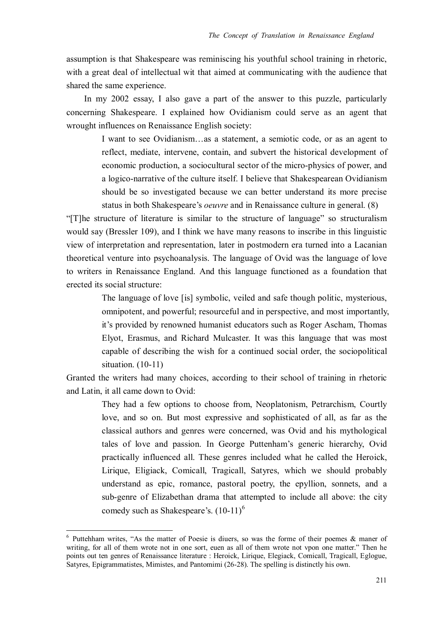assumption is that Shakespeare was reminiscing his youthful school training in rhetoric, with a great deal of intellectual wit that aimed at communicating with the audience that shared the same experience.

 In my 2002 essay, I also gave a part of the answer to this puzzle, particularly concerning Shakespeare. I explained how Ovidianism could serve as an agent that wrought influences on Renaissance English society:

> I want to see Ovidianism…as a statement, a semiotic code, or as an agent to reflect, mediate, intervene, contain, and subvert the historical development of economic production, a sociocultural sector of the micro-physics of power, and a logico-narrative of the culture itself. I believe that Shakespearean Ovidianism should be so investigated because we can better understand its more precise status in both Shakespeare's *oeuvre* and in Renaissance culture in general. (8)

"[T]he structure of literature is similar to the structure of language" so structuralism would say (Bressler 109), and I think we have many reasons to inscribe in this linguistic view of interpretation and representation, later in postmodern era turned into a Lacanian theoretical venture into psychoanalysis. The language of Ovid was the language of love to writers in Renaissance England. And this language functioned as a foundation that erected its social structure:

> The language of love [is] symbolic, veiled and safe though politic, mysterious, omnipotent, and powerful; resourceful and in perspective, and most importantly, it's provided by renowned humanist educators such as Roger Ascham, Thomas Elyot, Erasmus, and Richard Mulcaster. It was this language that was most capable of describing the wish for a continued social order, the sociopolitical situation. (10-11)

Granted the writers had many choices, according to their school of training in rhetoric and Latin, it all came down to Ovid:

> They had a few options to choose from, Neoplatonism, Petrarchism, Courtly love, and so on. But most expressive and sophisticated of all, as far as the classical authors and genres were concerned, was Ovid and his mythological tales of love and passion. In George Puttenham's generic hierarchy, Ovid practically influenced all. These genres included what he called the Heroick, Lirique, Eligiack, Comicall, Tragicall, Satyres, which we should probably understand as epic, romance, pastoral poetry, the epyllion, sonnets, and a sub-genre of Elizabethan drama that attempted to include all above: the city comedy such as Shakespeare's.  $(10-11)^6$

 $6$  Puttehham writes, "As the matter of Poesie is diuers, so was the forme of their poemes  $\&$  maner of writing, for all of them wrote not in one sort, euen as all of them wrote not vpon one matter." Then he points out ten genres of Renaissance literature : Heroick, Lirique, Elegiack, Comicall, Tragicall, Eglogue, Satyres, Epigrammatistes, Mimistes, and Pantomimi (26-28). The spelling is distinctly his own.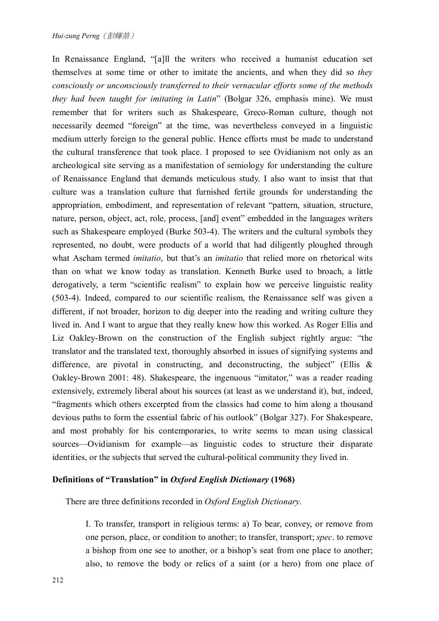In Renaissance England, "[a]ll the writers who received a humanist education set themselves at some time or other to imitate the ancients, and when they did so *they consciously or unconsciously transferred to their vernacular efforts some of the methods they had been taught for imitating in Latin*" (Bolgar 326, emphasis mine). We must remember that for writers such as Shakespeare, Greco-Roman culture, though not necessarily deemed "foreign" at the time, was nevertheless conveyed in a linguistic medium utterly foreign to the general public. Hence efforts must be made to understand the cultural transference that took place. I proposed to see Ovidianism not only as an archeological site serving as a manifestation of semiology for understanding the culture of Renaissance England that demands meticulous study. I also want to insist that that culture was a translation culture that furnished fertile grounds for understanding the appropriation, embodiment, and representation of relevant "pattern, situation, structure, nature, person, object, act, role, process, [and] event" embedded in the languages writers such as Shakespeare employed (Burke 503-4). The writers and the cultural symbols they represented, no doubt, were products of a world that had diligently ploughed through what Ascham termed *imitatio*, but that's an *imitatio* that relied more on rhetorical wits than on what we know today as translation. Kenneth Burke used to broach, a little derogatively, a term "scientific realism" to explain how we perceive linguistic reality (503-4). Indeed, compared to our scientific realism, the Renaissance self was given a different, if not broader, horizon to dig deeper into the reading and writing culture they lived in. And I want to argue that they really knew how this worked. As Roger Ellis and Liz Oakley-Brown on the construction of the English subject rightly argue: "the translator and the translated text, thoroughly absorbed in issues of signifying systems and difference, are pivotal in constructing, and deconstructing, the subject" (Ellis  $\&$ Oakley-Brown 2001: 48). Shakespeare, the ingenuous "imitator," was a reader reading extensively, extremely liberal about his sources (at least as we understand it), but, indeed, "fragments which others excerpted from the classics had come to him along a thousand devious paths to form the essential fabric of his outlook" (Bolgar 327). For Shakespeare, and most probably for his contemporaries, to write seems to mean using classical sources—Ovidianism for example—as linguistic codes to structure their disparate identities, or the subjects that served the cultural-political community they lived in.

## **Definitions of "Translation" in** *Oxford English Dictionary* **(1968)**

There are three definitions recorded in *Oxford English Dictionary*.

I. To transfer, transport in religious terms: a) To bear, convey, or remove from one person, place, or condition to another; to transfer, transport; *spec*. to remove a bishop from one see to another, or a bishop's seat from one place to another; also, to remove the body or relics of a saint (or a hero) from one place of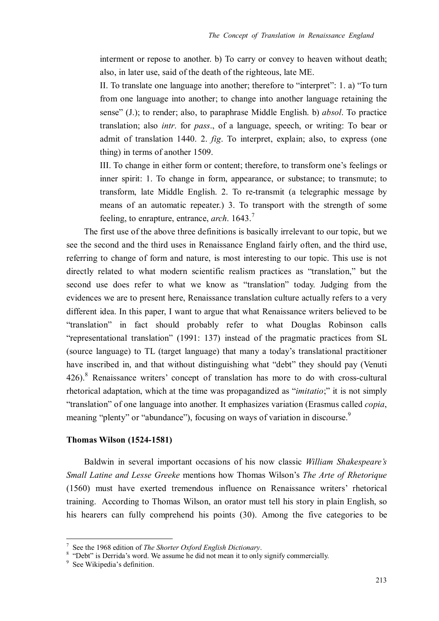interment or repose to another. b) To carry or convey to heaven without death; also, in later use, said of the death of the righteous, late ME.

II. To translate one language into another; therefore to "interpret": 1. a) "To turn from one language into another; to change into another language retaining the sense" (J.); to render; also, to paraphrase Middle English. b) *absol*. To practice translation; also *intr*. for *pass*., of a language, speech, or writing: To bear or admit of translation 1440. 2. *fig*. To interpret, explain; also, to express (one thing) in terms of another 1509.

III. To change in either form or content; therefore, to transform one's feelings or inner spirit: 1. To change in form, appearance, or substance; to transmute; to transform, late Middle English. 2. To re-transmit (a telegraphic message by means of an automatic repeater.) 3. To transport with the strength of some feeling, to enrapture, entrance, *arch*. 1643.<sup>7</sup>

The first use of the above three definitions is basically irrelevant to our topic, but we see the second and the third uses in Renaissance England fairly often, and the third use, referring to change of form and nature, is most interesting to our topic. This use is not directly related to what modern scientific realism practices as "translation," but the second use does refer to what we know as "translation" today. Judging from the evidences we are to present here, Renaissance translation culture actually refers to a very different idea. In this paper, I want to argue that what Renaissance writers believed to be "translation" in fact should probably refer to what Douglas Robinson calls "representational translation" (1991: 137) instead of the pragmatic practices from SL (source language) to TL (target language) that many a today's translational practitioner have inscribed in, and that without distinguishing what "debt" they should pay (Venuti 426).<sup>8</sup> Renaissance writers' concept of translation has more to do with cross-cultural rhetorical adaptation, which at the time was propagandized as "*imitatio*;" it is not simply "translation" of one language into another. It emphasizes variation (Erasmus called *copia*, meaning "plenty" or "abundance"), focusing on ways of variation in discourse.<sup>9</sup>

## **Thomas Wilson (1524-1581)**

Baldwin in several important occasions of his now classic *William Shakespeare's Small Latine and Lesse Greeke* mentions how Thomas Wilson's *The Arte of Rhetorique* (1560) must have exerted tremendous influence on Renaissance writers' rhetorical training. According to Thomas Wilson, an orator must tell his story in plain English, so his hearers can fully comprehend his points (30). Among the five categories to be

<sup>7</sup> See the 1968 edition of *The Shorter Oxford English Dictionary*.

<sup>&</sup>lt;sup>8</sup> "Debt" is Derrida's word. We assume he did not mean it to only signify commercially.

<sup>&</sup>lt;sup>9</sup> See Wikipedia's definition.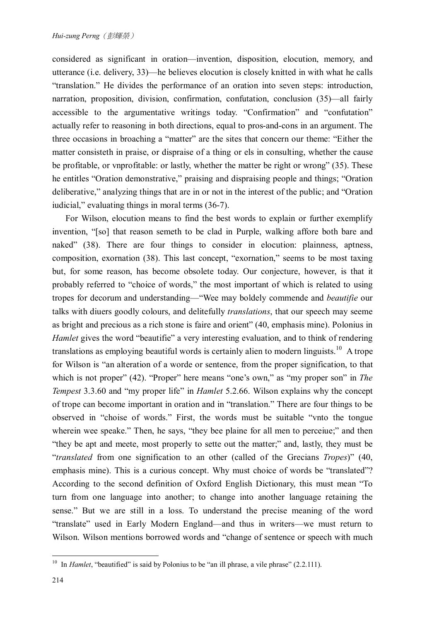considered as significant in oration—invention, disposition, elocution, memory, and utterance (i.e. delivery, 33)—he believes elocution is closely knitted in with what he calls "translation." He divides the performance of an oration into seven steps: introduction, narration, proposition, division, confirmation, confutation, conclusion (35)—all fairly accessible to the argumentative writings today. "Confirmation" and "confutation" actually refer to reasoning in both directions, equal to pros-and-cons in an argument. The three occasions in broaching a "matter" are the sites that concern our theme: "Either the matter consisteth in praise, or dispraise of a thing or els in consulting, whether the cause be profitable, or vnprofitable: or lastly, whether the matter be right or wrong" (35). These he entitles "Oration demonstrative," praising and dispraising people and things; "Oration deliberative," analyzing things that are in or not in the interest of the public; and "Oration iudicial," evaluating things in moral terms (36-7).

For Wilson, elocution means to find the best words to explain or further exemplify invention, "[so] that reason semeth to be clad in Purple, walking affore both bare and naked" (38). There are four things to consider in elocution: plainness, aptness, composition, exornation (38). This last concept, "exornation," seems to be most taxing but, for some reason, has become obsolete today. Our conjecture, however, is that it probably referred to "choice of words," the most important of which is related to using tropes for decorum and understanding—"Wee may boldely commende and *beautifie* our talks with diuers goodly colours, and delitefully *translations*, that our speech may seeme as bright and precious as a rich stone is faire and orient" (40, emphasis mine). Polonius in *Hamlet* gives the word "beautifie" a very interesting evaluation, and to think of rendering translations as employing beautiful words is certainly alien to modern linguists.<sup>10</sup> A trope for Wilson is "an alteration of a worde or sentence, from the proper signification, to that which is not proper" (42). "Proper" here means "one's own," as "my proper son" in *The Tempest* 3.3.60 and "my proper life" in *Hamlet* 5.2.66. Wilson explains why the concept of trope can become important in oration and in "translation." There are four things to be observed in "choise of words." First, the words must be suitable "vnto the tongue wherein wee speake." Then, he says, "they bee plaine for all men to perceiue;" and then "they be apt and meete, most properly to sette out the matter;" and, lastly, they must be "*translated* from one signification to an other (called of the Grecians *Tropes*)" (40, emphasis mine). This is a curious concept. Why must choice of words be "translated"? According to the second definition of Oxford English Dictionary, this must mean "To turn from one language into another; to change into another language retaining the sense." But we are still in a loss. To understand the precise meaning of the word "translate" used in Early Modern England—and thus in writers—we must return to Wilson. Wilson mentions borrowed words and "change of sentence or speech with much

<sup>&</sup>lt;sup>10</sup> In *Hamlet*, "beautified" is said by Polonius to be "an ill phrase, a vile phrase" (2.2.111).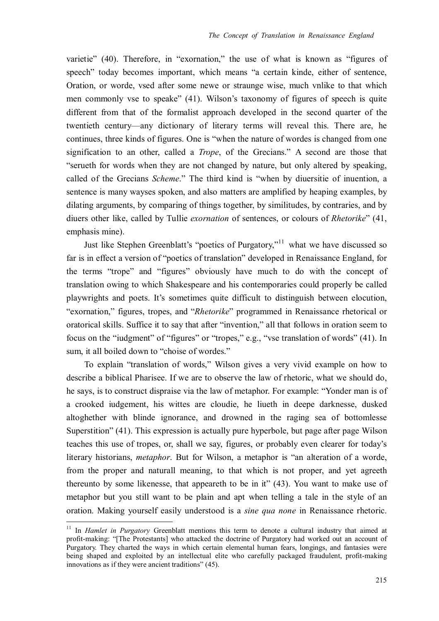varietie" (40). Therefore, in "exornation," the use of what is known as "figures of speech" today becomes important, which means "a certain kinde, either of sentence, Oration, or worde, vsed after some newe or straunge wise, much vnlike to that which men commonly vse to speake" (41). Wilson's taxonomy of figures of speech is quite different from that of the formalist approach developed in the second quarter of the twentieth century—any dictionary of literary terms will reveal this. There are, he continues, three kinds of figures. One is "when the nature of wordes is changed from one signification to an other, called a *Trope*, of the Grecians." A second are those that "serueth for words when they are not changed by nature, but only altered by speaking, called of the Grecians *Scheme*." The third kind is "when by diuersitie of inuention, a sentence is many wayses spoken, and also matters are amplified by heaping examples, by dilating arguments, by comparing of things together, by similitudes, by contraries, and by diuers other like, called by Tullie *exornation* of sentences, or colours of *Rhetorike*" (41, emphasis mine).

Just like Stephen Greenblatt's "poetics of Purgatory,"<sup>11</sup> what we have discussed so far is in effect a version of "poetics of translation" developed in Renaissance England, for the terms "trope" and "figures" obviously have much to do with the concept of translation owing to which Shakespeare and his contemporaries could properly be called playwrights and poets. It's sometimes quite difficult to distinguish between elocution, "exornation," figures, tropes, and "*Rhetorike*" programmed in Renaissance rhetorical or oratorical skills. Suffice it to say that after "invention," all that follows in oration seem to focus on the "iudgment" of "figures" or "tropes," e.g., "vse translation of words" (41). In sum, it all boiled down to "choise of wordes."

To explain "translation of words," Wilson gives a very vivid example on how to describe a biblical Pharisee. If we are to observe the law of rhetoric, what we should do, he says, is to construct dispraise via the law of metaphor. For example: "Yonder man is of a crooked iudgement, his wittes are cloudie, he liueth in deepe darknesse, dusked altoghether with blinde ignorance, and drowned in the raging sea of bottomlesse Superstition" (41). This expression is actually pure hyperbole, but page after page Wilson teaches this use of tropes, or, shall we say, figures, or probably even clearer for today's literary historians, *metaphor*. But for Wilson, a metaphor is "an alteration of a worde, from the proper and naturall meaning, to that which is not proper, and yet agreeth thereunto by some likenesse, that appeareth to be in it" (43). You want to make use of metaphor but you still want to be plain and apt when telling a tale in the style of an oration. Making yourself easily understood is a *sine qua none* in Renaissance rhetoric.

<sup>11</sup> In *Hamlet in Purgatory* Greenblatt mentions this term to denote a cultural industry that aimed at profit-making: "[The Protestants] who attacked the doctrine of Purgatory had worked out an account of Purgatory. They charted the ways in which certain elemental human fears, longings, and fantasies were being shaped and exploited by an intellectual elite who carefully packaged fraudulent, profit-making innovations as if they were ancient traditions" (45).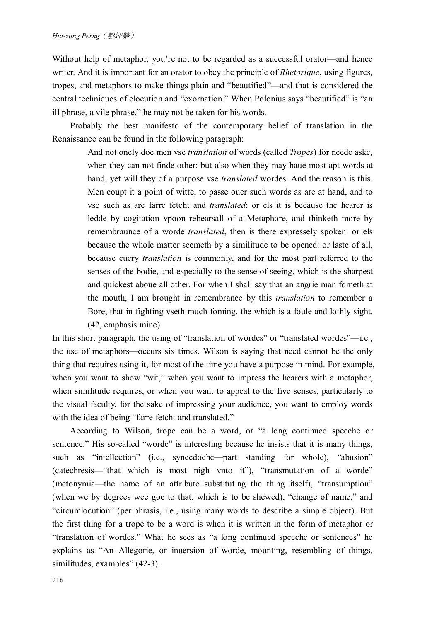Without help of metaphor, you're not to be regarded as a successful orator—and hence writer. And it is important for an orator to obey the principle of *Rhetorique*, using figures, tropes, and metaphors to make things plain and "beautified"—and that is considered the central techniques of elocution and "exornation." When Polonius says "beautified" is "an ill phrase, a vile phrase," he may not be taken for his words.

Probably the best manifesto of the contemporary belief of translation in the Renaissance can be found in the following paragraph:

> And not onely doe men vse *translation* of words (called *Tropes*) for neede aske, when they can not finde other: but also when they may haue most apt words at hand, yet will they of a purpose vse *translated* wordes. And the reason is this. Men coupt it a point of witte, to passe ouer such words as are at hand, and to vse such as are farre fetcht and *translated*: or els it is because the hearer is ledde by cogitation vpoon rehearsall of a Metaphore, and thinketh more by remembraunce of a worde *translated*, then is there expressely spoken: or els because the whole matter seemeth by a similitude to be opened: or laste of all, because euery *translation* is commonly, and for the most part referred to the senses of the bodie, and especially to the sense of seeing, which is the sharpest and quickest aboue all other. For when I shall say that an angrie man fometh at the mouth, I am brought in remembrance by this *translation* to remember a Bore, that in fighting vseth much foming, the which is a foule and lothly sight. (42, emphasis mine)

In this short paragraph, the using of "translation of wordes" or "translated wordes"—i.e., the use of metaphors—occurs six times. Wilson is saying that need cannot be the only thing that requires using it, for most of the time you have a purpose in mind. For example, when you want to show "wit," when you want to impress the hearers with a metaphor, when similitude requires, or when you want to appeal to the five senses, particularly to the visual faculty, for the sake of impressing your audience, you want to employ words with the idea of being "farre fetcht and translated."

According to Wilson, trope can be a word, or "a long continued speeche or sentence." His so-called "worde" is interesting because he insists that it is many things, such as "intellection" (i.e., synecdoche—part standing for whole), "abusion" (catechresis—"that which is most nigh vnto it"), "transmutation of a worde" (metonymia—the name of an attribute substituting the thing itself), "transumption" (when we by degrees wee goe to that, which is to be shewed), "change of name," and "circumlocution" (periphrasis, i.e., using many words to describe a simple object). But the first thing for a trope to be a word is when it is written in the form of metaphor or "translation of wordes." What he sees as "a long continued speeche or sentences" he explains as "An Allegorie, or inuersion of worde, mounting, resembling of things, similitudes, examples" (42-3).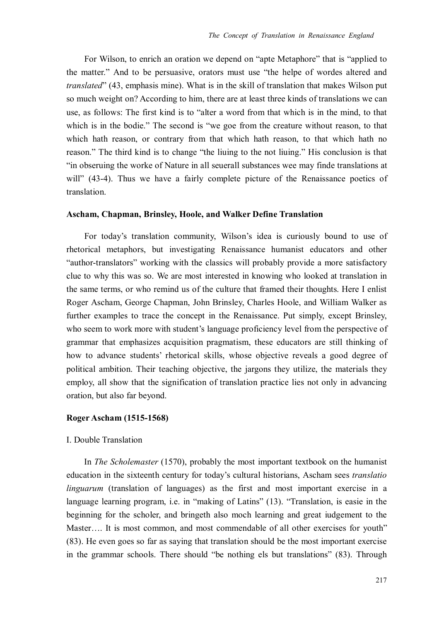For Wilson, to enrich an oration we depend on "apte Metaphore" that is "applied to the matter." And to be persuasive, orators must use "the helpe of wordes altered and *translated*" (43, emphasis mine). What is in the skill of translation that makes Wilson put so much weight on? According to him, there are at least three kinds of translations we can use, as follows: The first kind is to "alter a word from that which is in the mind, to that which is in the bodie." The second is "we goe from the creature without reason, to that which hath reason, or contrary from that which hath reason, to that which hath no reason." The third kind is to change "the liuing to the not liuing." His conclusion is that "in obseruing the worke of Nature in all seuerall substances wee may finde translations at will" (43-4). Thus we have a fairly complete picture of the Renaissance poetics of translation.

#### **Ascham, Chapman, Brinsley, Hoole, and Walker Define Translation**

For today's translation community, Wilson's idea is curiously bound to use of rhetorical metaphors, but investigating Renaissance humanist educators and other "author-translators" working with the classics will probably provide a more satisfactory clue to why this was so. We are most interested in knowing who looked at translation in the same terms, or who remind us of the culture that framed their thoughts. Here I enlist Roger Ascham, George Chapman, John Brinsley, Charles Hoole, and William Walker as further examples to trace the concept in the Renaissance. Put simply, except Brinsley, who seem to work more with student's language proficiency level from the perspective of grammar that emphasizes acquisition pragmatism, these educators are still thinking of how to advance students' rhetorical skills, whose objective reveals a good degree of political ambition. Their teaching objective, the jargons they utilize, the materials they employ, all show that the signification of translation practice lies not only in advancing oration, but also far beyond.

#### **Roger Ascham (1515-1568)**

#### I. Double Translation

In *The Scholemaster* (1570), probably the most important textbook on the humanist education in the sixteenth century for today's cultural historians, Ascham sees *translatio linguarum* (translation of languages) as the first and most important exercise in a language learning program, i.e. in "making of Latins" (13). "Translation, is easie in the beginning for the scholer, and bringeth also moch learning and great iudgement to the Master.... It is most common, and most commendable of all other exercises for youth" (83). He even goes so far as saying that translation should be the most important exercise in the grammar schools. There should "be nothing els but translations" (83). Through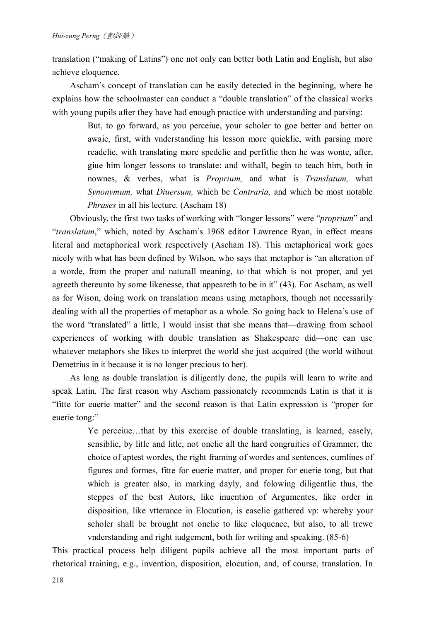translation ("making of Latins") one not only can better both Latin and English, but also achieve eloquence.

Ascham's concept of translation can be easily detected in the beginning, where he explains how the schoolmaster can conduct a "double translation" of the classical works with young pupils after they have had enough practice with understanding and parsing:

> But, to go forward, as you perceiue, your scholer to goe better and better on awaie, first, with vnderstanding his lesson more quicklie, with parsing more readelie, with translating more spedelie and perfitlie then he was wonte, after, giue him longer lessons to translate: and withall, begin to teach him, both in nownes, & verbes, what is *Proprium,* and what is *Translatum,* what *Synonymum,* what *Diuersum,* which be *Contraria,* and which be most notable *Phrases* in all his lecture. (Ascham 18)

Obviously, the first two tasks of working with "longer lessons" were "*proprium*" and "*translatum*," which, noted by Ascham's 1968 editor Lawrence Ryan, in effect means literal and metaphorical work respectively (Ascham 18). This metaphorical work goes nicely with what has been defined by Wilson, who says that metaphor is "an alteration of a worde, from the proper and naturall meaning, to that which is not proper, and yet agreeth thereunto by some likenesse, that appeareth to be in it" (43). For Ascham, as well as for Wison, doing work on translation means using metaphors, though not necessarily dealing with all the properties of metaphor as a whole. So going back to Helena's use of the word "translated" a little, I would insist that she means that—drawing from school experiences of working with double translation as Shakespeare did—one can use whatever metaphors she likes to interpret the world she just acquired (the world without Demetrius in it because it is no longer precious to her).

As long as double translation is diligently done, the pupils will learn to write and speak Latin. The first reason why Ascham passionately recommends Latin is that it is "fitte for euerie matter" and the second reason is that Latin expression is "proper for euerie tong:"

> Ye perceiue…that by this exercise of double translating, is learned, easely, sensiblie, by litle and litle, not onelie all the hard congruities of Grammer, the choice of aptest wordes, the right framing of wordes and sentences, cumlines of figures and formes, fitte for euerie matter, and proper for euerie tong, but that which is greater also, in marking dayly, and folowing diligentlie thus, the steppes of the best Autors, like inuention of Argumentes, like order in disposition, like vtterance in Elocution, is easelie gathered vp: whereby your scholer shall be brought not onelie to like eloquence, but also, to all trewe vnderstanding and right iudgement, both for writing and speaking. (85-6)

This practical process help diligent pupils achieve all the most important parts of rhetorical training, e.g., invention, disposition, elocution, and, of course, translation. In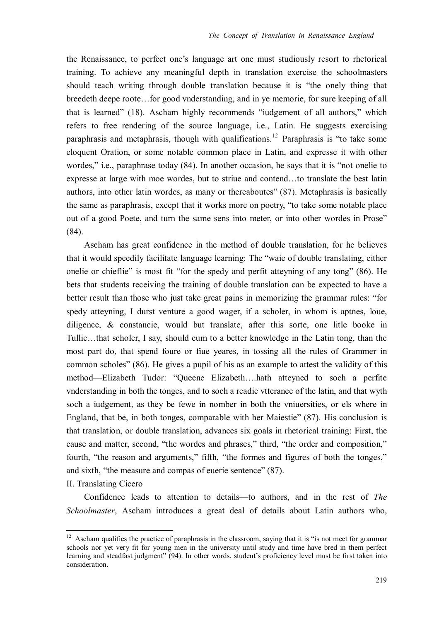the Renaissance, to perfect one's language art one must studiously resort to rhetorical training. To achieve any meaningful depth in translation exercise the schoolmasters should teach writing through double translation because it is "the onely thing that breedeth deepe roote…for good vnderstanding, and in ye memorie, for sure keeping of all that is learned" (18). Ascham highly recommends "iudgement of all authors," which refers to free rendering of the source language, i.e., Latin. He suggests exercising paraphrasis and metaphrasis, though with qualifications.<sup>12</sup> Paraphrasis is "to take some eloquent Oration, or some notable common place in Latin, and expresse it with other wordes," i.e., paraphrase today (84). In another occasion, he says that it is "not onelie to expresse at large with moe wordes, but to striue and contend…to translate the best latin authors, into other latin wordes, as many or thereaboutes" (87). Metaphrasis is basically the same as paraphrasis, except that it works more on poetry, "to take some notable place out of a good Poete, and turn the same sens into meter, or into other wordes in Prose" (84).

Ascham has great confidence in the method of double translation, for he believes that it would speedily facilitate language learning: The "waie of double translating, either onelie or chieflie" is most fit "for the spedy and perfit atteyning of any tong" (86). He bets that students receiving the training of double translation can be expected to have a better result than those who just take great pains in memorizing the grammar rules: "for spedy atteyning, I durst venture a good wager, if a scholer, in whom is aptnes, loue, diligence, & constancie, would but translate, after this sorte, one litle booke in Tullie…that scholer, I say, should cum to a better knowledge in the Latin tong, than the most part do, that spend foure or fiue yeares, in tossing all the rules of Grammer in common scholes" (86). He gives a pupil of his as an example to attest the validity of this method—Elizabeth Tudor: "Queene Elizabeth….hath atteyned to soch a perfite vnderstanding in both the tonges, and to soch a readie vtterance of the latin, and that wyth soch a iudgement, as they be fewe in nomber in both the vniuersities, or els where in England, that be, in both tonges, comparable with her Maiestie" (87). His conclusion is that translation, or double translation, advances six goals in rhetorical training: First, the cause and matter, second, "the wordes and phrases," third, "the order and composition," fourth, "the reason and arguments," fifth, "the formes and figures of both the tonges," and sixth, "the measure and compas of euerie sentence" (87).

#### II. Translating Cicero

 $\overline{a}$ 

 Confidence leads to attention to details—to authors, and in the rest of *The Schoolmaster*, Ascham introduces a great deal of details about Latin authors who,

 $12$  Ascham qualifies the practice of paraphrasis in the classroom, saying that it is "is not meet for grammar schools nor yet very fit for young men in the university until study and time have bred in them perfect learning and steadfast judgment" (94). In other words, student's proficiency level must be first taken into consideration.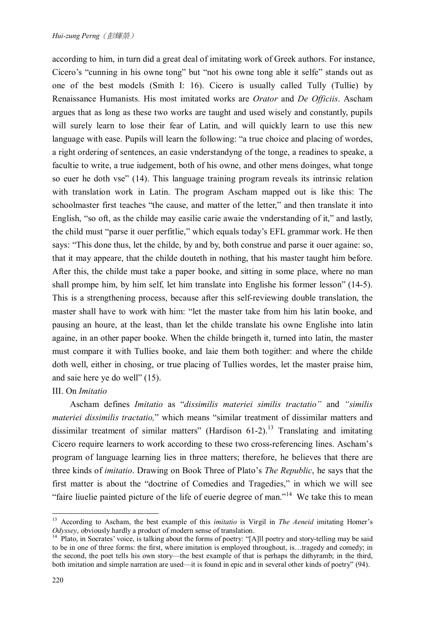according to him, in turn did a great deal of imitating work of Greek authors. For instance, Cicero's "cunning in his owne tong" but "not his owne tong able it selfe" stands out as one of the best models (Smith I: 16). Cicero is usually called Tully (Tullie) by Renaissance Humanists. His most imitated works are *Orator* and *De Officiis*. Ascham argues that as long as these two works are taught and used wisely and constantly, pupils will surely learn to lose their fear of Latin, and will quickly learn to use this new language with ease. Pupils will learn the following: "a true choice and placing of wordes, a right ordering of sentences, an easie vnderstandyng of the tonge, a readines to speake, a facultie to write, a true iudgement, both of his owne, and other mens doinges, what tonge so euer he doth vse" (14). This language training program reveals its intrinsic relation with translation work in Latin. The program Ascham mapped out is like this: The schoolmaster first teaches "the cause, and matter of the letter," and then translate it into English, "so oft, as the childe may easilie carie awaie the vnderstanding of it," and lastly, the child must "parse it ouer perfitlie," which equals today's EFL grammar work. He then says: "This done thus, let the childe, by and by, both construe and parse it ouer againe: so, that it may appeare, that the childe douteth in nothing, that his master taught him before. After this, the childe must take a paper booke, and sitting in some place, where no man shall prompe him, by him self, let him translate into Englishe his former lesson" (14-5). This is a strengthening process, because after this self-reviewing double translation, the master shall have to work with him: "let the master take from him his latin booke, and pausing an houre, at the least, than let the childe translate his owne Englishe into latin againe, in an other paper booke. When the childe bringeth it, turned into latin, the master must compare it with Tullies booke, and laie them both togither: and where the childe doth well, either in chosing, or true placing of Tullies wordes, let the master praise him, and saie here ye do well" (15).

#### III. On *Imitatio*

Ascham defines *Imitatio* as "*dissimilis materiei similis tractatio"* and *"similis materiei dissimilis tractatio,*" which means "similar treatment of dissimilar matters and dissimilar treatment of similar matters" (Hardison  $61-2$ ).<sup>13</sup> Translating and imitating Cicero require learners to work according to these two cross-referencing lines. Ascham's program of language learning lies in three matters; therefore, he believes that there are three kinds of *imitatio*. Drawing on Book Three of Plato's *The Republic*, he says that the first matter is about the "doctrine of Comedies and Tragedies," in which we will see "faire liuelie painted picture of the life of euerie degree of man."<sup>14</sup> We take this to mean

<sup>13</sup> According to Ascham, the best example of this *imitatio* is Virgil in *The Aeneid* imitating Homer's *Odyssey*, obviously hardly a product of modern sense of translation.

<sup>&</sup>lt;sup>14</sup> Plato, in Socrates' voice, is talking about the forms of poetry: "[A]ll poetry and story-telling may be said to be in one of three forms: the first, where imitation is employed throughout, is…tragedy and comedy; in the second, the poet tells his own story—the best example of that is perhaps the dithyramb; in the third, both imitation and simple narration are used—it is found in epic and in several other kinds of poetry" (94).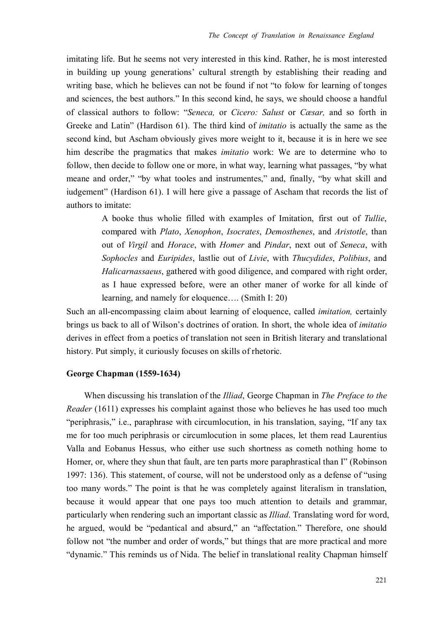imitating life. But he seems not very interested in this kind. Rather, he is most interested in building up young generations' cultural strength by establishing their reading and writing base, which he believes can not be found if not "to folow for learning of tonges and sciences, the best authors." In this second kind, he says, we should choose a handful of classical authors to follow: "*Seneca,* or *Cicero: Salust* or *Cæsar,* and so forth in Greeke and Latin" (Hardison 61). The third kind of *imitatio* is actually the same as the second kind, but Ascham obviously gives more weight to it, because it is in here we see him describe the pragmatics that makes *imitatio* work: We are to determine who to follow, then decide to follow one or more, in what way, learning what passages, "by what meane and order," "by what tooles and instrumentes," and, finally, "by what skill and iudgement" (Hardison 61). I will here give a passage of Ascham that records the list of authors to imitate:

> A booke thus wholie filled with examples of Imitation, first out of *Tullie*, compared with *Plato*, *Xenophon*, *Isocrates*, *Demosthenes*, and *Aristotle*, than out of *Virgil* and *Horace*, with *Homer* and *Pindar*, next out of *Seneca*, with *Sophocles* and *Euripides*, lastlie out of *Livie*, with *Thucydides*, *Polibius*, and *Halicarnassaeus*, gathered with good diligence, and compared with right order, as I haue expressed before, were an other maner of worke for all kinde of learning, and namely for eloquence…. (Smith I: 20)

Such an all-encompassing claim about learning of eloquence, called *imitation,* certainly brings us back to all of Wilson's doctrines of oration. In short, the whole idea of *imitatio* derives in effect from a poetics of translation not seen in British literary and translational history. Put simply, it curiously focuses on skills of rhetoric.

#### **George Chapman (1559-1634)**

When discussing his translation of the *Illiad*, George Chapman in *The Preface to the Reader* (1611) expresses his complaint against those who believes he has used too much "periphrasis," i.e., paraphrase with circumlocution, in his translation, saying, "If any tax me for too much periphrasis or circumlocution in some places, let them read Laurentius Valla and Eobanus Hessus, who either use such shortness as cometh nothing home to Homer, or, where they shun that fault, are ten parts more paraphrastical than I" (Robinson 1997: 136). This statement, of course, will not be understood only as a defense of "using too many words." The point is that he was completely against literalism in translation, because it would appear that one pays too much attention to details and grammar, particularly when rendering such an important classic as *Illiad*. Translating word for word, he argued, would be "pedantical and absurd," an "affectation." Therefore, one should follow not "the number and order of words," but things that are more practical and more "dynamic." This reminds us of Nida. The belief in translational reality Chapman himself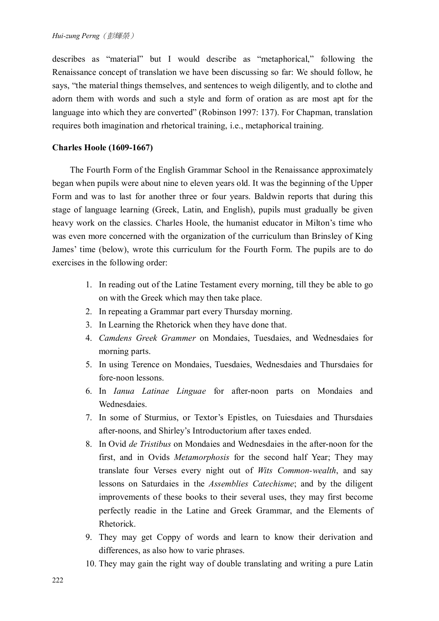describes as "material" but I would describe as "metaphorical," following the Renaissance concept of translation we have been discussing so far: We should follow, he says, "the material things themselves, and sentences to weigh diligently, and to clothe and adorn them with words and such a style and form of oration as are most apt for the language into which they are converted" (Robinson 1997: 137). For Chapman, translation requires both imagination and rhetorical training, i.e., metaphorical training.

## **Charles Hoole (1609-1667)**

 The Fourth Form of the English Grammar School in the Renaissance approximately began when pupils were about nine to eleven years old. It was the beginning of the Upper Form and was to last for another three or four years. Baldwin reports that during this stage of language learning (Greek, Latin, and English), pupils must gradually be given heavy work on the classics. Charles Hoole, the humanist educator in Milton's time who was even more concerned with the organization of the curriculum than Brinsley of King James' time (below), wrote this curriculum for the Fourth Form. The pupils are to do exercises in the following order:

- 1. In reading out of the Latine Testament every morning, till they be able to go on with the Greek which may then take place.
- 2. In repeating a Grammar part every Thursday morning.
- 3. In Learning the Rhetorick when they have done that.
- 4. *Camdens Greek Grammer* on Mondaies, Tuesdaies, and Wednesdaies for morning parts.
- 5. In using Terence on Mondaies, Tuesdaies, Wednesdaies and Thursdaies for fore-noon lessons.
- 6. In *Ianua Latinae Linguae* for after-noon parts on Mondaies and **Wednesdaies**
- 7. In some of Sturmius, or Textor's Epistles, on Tuiesdaies and Thursdaies after-noons, and Shirley's Introductorium after taxes ended.
- 8. In Ovid *de Tristibus* on Mondaies and Wednesdaies in the after-noon for the first, and in Ovids *Metamorphosis* for the second half Year; They may translate four Verses every night out of *Wits Common-wealth*, and say lessons on Saturdaies in the *Assemblies Catechisme*; and by the diligent improvements of these books to their several uses, they may first become perfectly readie in the Latine and Greek Grammar, and the Elements of Rhetorick.
- 9. They may get Coppy of words and learn to know their derivation and differences, as also how to varie phrases.
- 10. They may gain the right way of double translating and writing a pure Latin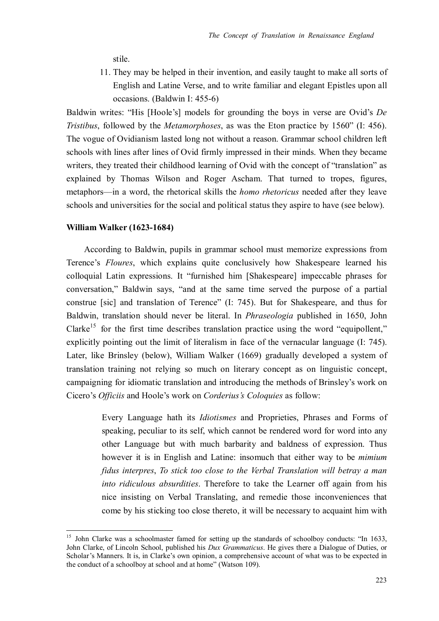stile.

11. They may be helped in their invention, and easily taught to make all sorts of English and Latine Verse, and to write familiar and elegant Epistles upon all occasions. (Baldwin I: 455-6)

Baldwin writes: "His [Hoole's] models for grounding the boys in verse are Ovid's *De Tristibus*, followed by the *Metamorphoses*, as was the Eton practice by 1560" (I: 456). The vogue of Ovidianism lasted long not without a reason. Grammar school children left schools with lines after lines of Ovid firmly impressed in their minds. When they became writers, they treated their childhood learning of Ovid with the concept of "translation" as explained by Thomas Wilson and Roger Ascham. That turned to tropes, figures, metaphors—in a word, the rhetorical skills the *homo rhetoricus* needed after they leave schools and universities for the social and political status they aspire to have (see below).

#### **William Walker (1623-1684)**

 $\overline{a}$ 

According to Baldwin, pupils in grammar school must memorize expressions from Terence's *Floures*, which explains quite conclusively how Shakespeare learned his colloquial Latin expressions. It "furnished him [Shakespeare] impeccable phrases for conversation," Baldwin says, "and at the same time served the purpose of a partial construe [sic] and translation of Terence" (I: 745). But for Shakespeare, and thus for Baldwin, translation should never be literal. In *Phraseologia* published in 1650, John Clarke<sup>15</sup> for the first time describes translation practice using the word "equipollent," explicitly pointing out the limit of literalism in face of the vernacular language (I: 745). Later, like Brinsley (below), William Walker (1669) gradually developed a system of translation training not relying so much on literary concept as on linguistic concept, campaigning for idiomatic translation and introducing the methods of Brinsley's work on Cicero's *Officiis* and Hoole's work on *Corderius's Coloquies* as follow:

> Every Language hath its *Idiotismes* and Proprieties, Phrases and Forms of speaking, peculiar to its self, which cannot be rendered word for word into any other Language but with much barbarity and baldness of expression. Thus however it is in English and Latine: insomuch that either way to be *mimium fidus interpres*, *To stick too close to the Verbal Translation will betray a man into ridiculous absurdities*. Therefore to take the Learner off again from his nice insisting on Verbal Translating, and remedie those inconveniences that come by his sticking too close thereto, it will be necessary to acquaint him with

<sup>&</sup>lt;sup>15</sup> John Clarke was a schoolmaster famed for setting up the standards of schoolboy conducts: "In 1633, John Clarke, of Lincoln School, published his *Dux Grammaticus*. He gives there a Dialogue of Duties, or Scholar's Manners. It is, in Clarke's own opinion, a comprehensive account of what was to be expected in the conduct of a schoolboy at school and at home" (Watson 109).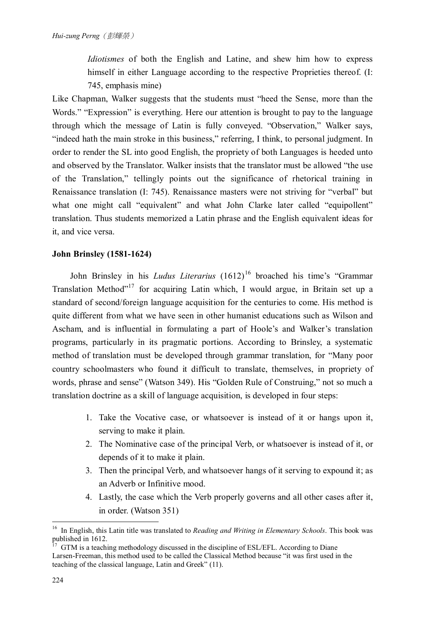*Idiotismes* of both the English and Latine, and shew him how to express himself in either Language according to the respective Proprieties thereof. (I: 745, emphasis mine)

Like Chapman, Walker suggests that the students must "heed the Sense, more than the Words." "Expression" is everything. Here our attention is brought to pay to the language through which the message of Latin is fully conveyed. "Observation," Walker says, "indeed hath the main stroke in this business," referring, I think, to personal judgment. In order to render the SL into good English, the propriety of both Languages is heeded unto and observed by the Translator. Walker insists that the translator must be allowed "the use of the Translation," tellingly points out the significance of rhetorical training in Renaissance translation (I: 745). Renaissance masters were not striving for "verbal" but what one might call "equivalent" and what John Clarke later called "equipollent" translation. Thus students memorized a Latin phrase and the English equivalent ideas for it, and vice versa.

## **John Brinsley (1581-1624)**

John Brinsley in his *Ludus Literarius* (1612)<sup>16</sup> broached his time's "Grammar Translation Method"<sup>17</sup> for acquiring Latin which, I would argue, in Britain set up a standard of second/foreign language acquisition for the centuries to come. His method is quite different from what we have seen in other humanist educations such as Wilson and Ascham, and is influential in formulating a part of Hoole's and Walker's translation programs, particularly in its pragmatic portions. According to Brinsley, a systematic method of translation must be developed through grammar translation, for "Many poor country schoolmasters who found it difficult to translate, themselves, in propriety of words, phrase and sense" (Watson 349). His "Golden Rule of Construing," not so much a translation doctrine as a skill of language acquisition, is developed in four steps:

- 1. Take the Vocative case, or whatsoever is instead of it or hangs upon it, serving to make it plain.
- 2. The Nominative case of the principal Verb, or whatsoever is instead of it, or depends of it to make it plain.
- 3. Then the principal Verb, and whatsoever hangs of it serving to expound it; as an Adverb or Infinitive mood.
- 4. Lastly, the case which the Verb properly governs and all other cases after it, in order. (Watson 351)

 $\overline{a}$ <sup>16</sup> In English, this Latin title was translated to *Reading and Writing in Elementary Schools*. This book was published in 1612.

<sup>17</sup> GTM is a teaching methodology discussed in the discipline of ESL/EFL. According to Diane Larsen-Freeman, this method used to be called the Classical Method because "it was first used in the teaching of the classical language, Latin and Greek" (11).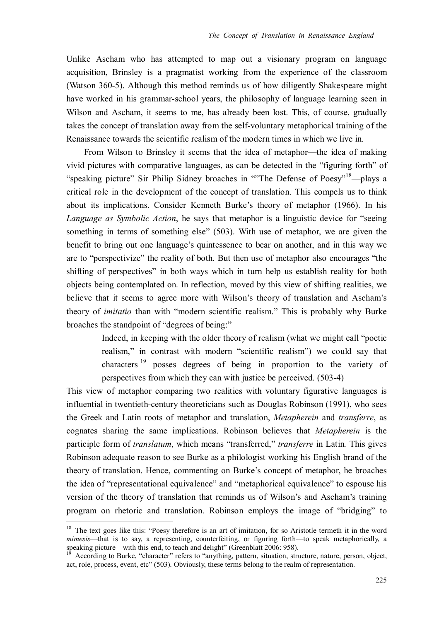Unlike Ascham who has attempted to map out a visionary program on language acquisition, Brinsley is a pragmatist working from the experience of the classroom (Watson 360-5). Although this method reminds us of how diligently Shakespeare might have worked in his grammar-school years, the philosophy of language learning seen in Wilson and Ascham, it seems to me, has already been lost. This, of course, gradually takes the concept of translation away from the self-voluntary metaphorical training of the Renaissance towards the scientific realism of the modern times in which we live in.

From Wilson to Brinsley it seems that the idea of metaphor—the idea of making vivid pictures with comparative languages, as can be detected in the "figuring forth" of "speaking picture" Sir Philip Sidney broaches in ""The Defense of Poesy"<sup>18</sup>—plays a critical role in the development of the concept of translation. This compels us to think about its implications. Consider Kenneth Burke's theory of metaphor (1966). In his *Language as Symbolic Action*, he says that metaphor is a linguistic device for "seeing something in terms of something else" (503). With use of metaphor, we are given the benefit to bring out one language's quintessence to bear on another, and in this way we are to "perspectivize" the reality of both. But then use of metaphor also encourages "the shifting of perspectives" in both ways which in turn help us establish reality for both objects being contemplated on. In reflection, moved by this view of shifting realities, we believe that it seems to agree more with Wilson's theory of translation and Ascham's theory of *imitatio* than with "modern scientific realism." This is probably why Burke broaches the standpoint of "degrees of being:"

> Indeed, in keeping with the older theory of realism (what we might call "poetic realism," in contrast with modern "scientific realism") we could say that characters <sup>19</sup> posses degrees of being in proportion to the variety of perspectives from which they can with justice be perceived. (503-4)

This view of metaphor comparing two realities with voluntary figurative languages is influential in twentieth-century theoreticians such as Douglas Robinson (1991), who sees the Greek and Latin roots of metaphor and translation, *Metapherein* and *transferre*, as cognates sharing the same implications. Robinson believes that *Metapherein* is the participle form of *translatum*, which means "transferred," *transferre* in Latin*.* This gives Robinson adequate reason to see Burke as a philologist working his English brand of the theory of translation. Hence, commenting on Burke's concept of metaphor, he broaches the idea of "representational equivalence" and "metaphorical equivalence" to espouse his version of the theory of translation that reminds us of Wilson's and Ascham's training program on rhetoric and translation. Robinson employs the image of "bridging" to

<sup>&</sup>lt;sup>18</sup> The text goes like this: "Poesy therefore is an art of imitation, for so Aristotle termeth it in the word *mimesis*—that is to say, a representing, counterfeiting, or figuring forth—to speak metaphorically, a speaking picture—with this end, to teach and delight" (Greenblatt 2006: 958).

According to Burke, "character" refers to "anything, pattern, situation, structure, nature, person, object, act, role, process, event, etc" (503). Obviously, these terms belong to the realm of representation.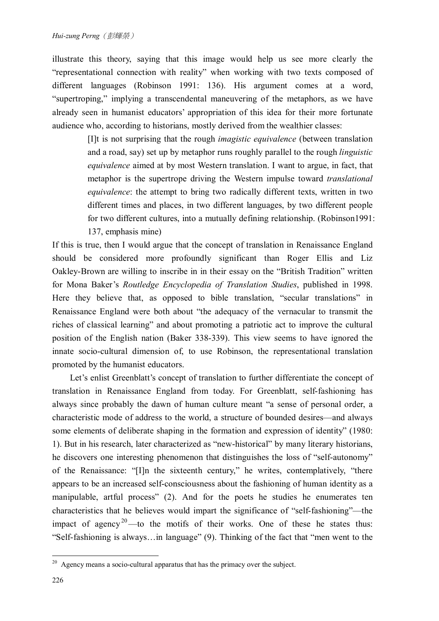illustrate this theory, saying that this image would help us see more clearly the "representational connection with reality" when working with two texts composed of different languages (Robinson 1991: 136). His argument comes at a word, "supertroping," implying a transcendental maneuvering of the metaphors, as we have already seen in humanist educators' appropriation of this idea for their more fortunate audience who, according to historians, mostly derived from the wealthier classes:

> [I]t is not surprising that the rough *imagistic equivalence* (between translation and a road, say) set up by metaphor runs roughly parallel to the rough *linguistic equivalence* aimed at by most Western translation. I want to argue, in fact, that metaphor is the supertrope driving the Western impulse toward *translational equivalence*: the attempt to bring two radically different texts, written in two different times and places, in two different languages, by two different people for two different cultures, into a mutually defining relationship. (Robinson1991: 137, emphasis mine)

If this is true, then I would argue that the concept of translation in Renaissance England should be considered more profoundly significant than Roger Ellis and Liz Oakley-Brown are willing to inscribe in in their essay on the "British Tradition" written for Mona Baker's *Routledge Encyclopedia of Translation Studies*, published in 1998. Here they believe that, as opposed to bible translation, "secular translations" in Renaissance England were both about "the adequacy of the vernacular to transmit the riches of classical learning" and about promoting a patriotic act to improve the cultural position of the English nation (Baker 338-339). This view seems to have ignored the innate socio-cultural dimension of, to use Robinson, the representational translation promoted by the humanist educators.

Let's enlist Greenblatt's concept of translation to further differentiate the concept of translation in Renaissance England from today. For Greenblatt, self-fashioning has always since probably the dawn of human culture meant "a sense of personal order, a characteristic mode of address to the world, a structure of bounded desires—and always some elements of deliberate shaping in the formation and expression of identity" (1980: 1). But in his research, later characterized as "new-historical" by many literary historians, he discovers one interesting phenomenon that distinguishes the loss of "self-autonomy" of the Renaissance: "[I]n the sixteenth century," he writes, contemplatively, "there appears to be an increased self-consciousness about the fashioning of human identity as a manipulable, artful process" (2). And for the poets he studies he enumerates ten characteristics that he believes would impart the significance of "self-fashioning"—the impact of agency<sup>20</sup>—to the motifs of their works. One of these he states thus: "Self-fashioning is always…in language" (9). Thinking of the fact that "men went to the

 $20$  Agency means a socio-cultural apparatus that has the primacy over the subject.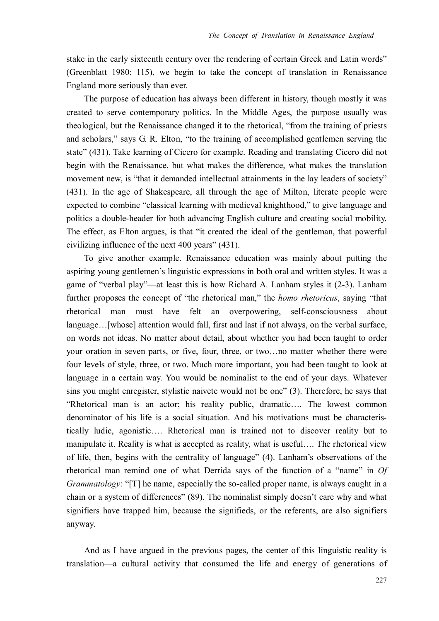stake in the early sixteenth century over the rendering of certain Greek and Latin words" (Greenblatt 1980: 115), we begin to take the concept of translation in Renaissance England more seriously than ever.

 The purpose of education has always been different in history, though mostly it was created to serve contemporary politics. In the Middle Ages, the purpose usually was theological, but the Renaissance changed it to the rhetorical, "from the training of priests and scholars," says G. R. Elton, "to the training of accomplished gentlemen serving the state" (431). Take learning of Cicero for example. Reading and translating Cicero did not begin with the Renaissance, but what makes the difference, what makes the translation movement new, is "that it demanded intellectual attainments in the lay leaders of society" (431). In the age of Shakespeare, all through the age of Milton, literate people were expected to combine "classical learning with medieval knighthood," to give language and politics a double-header for both advancing English culture and creating social mobility. The effect, as Elton argues, is that "it created the ideal of the gentleman, that powerful civilizing influence of the next 400 years" (431).

 To give another example. Renaissance education was mainly about putting the aspiring young gentlemen's linguistic expressions in both oral and written styles. It was a game of "verbal play"—at least this is how Richard A. Lanham styles it (2-3). Lanham further proposes the concept of "the rhetorical man," the *homo rhetoricus*, saying "that rhetorical man must have felt an overpowering, self-consciousness about language…[whose] attention would fall, first and last if not always, on the verbal surface, on words not ideas. No matter about detail, about whether you had been taught to order your oration in seven parts, or five, four, three, or two…no matter whether there were four levels of style, three, or two. Much more important, you had been taught to look at language in a certain way. You would be nominalist to the end of your days. Whatever sins you might enregister, stylistic naivete would not be one" (3). Therefore, he says that "Rhetorical man is an actor; his reality public, dramatic…. The lowest common denominator of his life is a social situation. And his motivations must be characteristically ludic, agonistic…. Rhetorical man is trained not to discover reality but to manipulate it. Reality is what is accepted as reality, what is useful…. The rhetorical view of life, then, begins with the centrality of language" (4). Lanham's observations of the rhetorical man remind one of what Derrida says of the function of a "name" in *Of Grammatology*: "[T] he name, especially the so-called proper name, is always caught in a chain or a system of differences" (89). The nominalist simply doesn't care why and what signifiers have trapped him, because the signifieds, or the referents, are also signifiers anyway.

 And as I have argued in the previous pages, the center of this linguistic reality is translation—a cultural activity that consumed the life and energy of generations of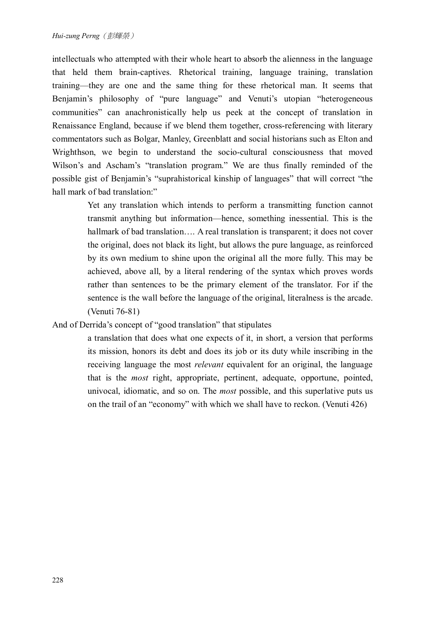intellectuals who attempted with their whole heart to absorb the alienness in the language that held them brain-captives. Rhetorical training, language training, translation training—they are one and the same thing for these rhetorical man. It seems that Benjamin's philosophy of "pure language" and Venuti's utopian "heterogeneous communities" can anachronistically help us peek at the concept of translation in Renaissance England, because if we blend them together, cross-referencing with literary commentators such as Bolgar, Manley, Greenblatt and social historians such as Elton and Wrighthson, we begin to understand the socio-cultural consciousness that moved Wilson's and Ascham's "translation program." We are thus finally reminded of the possible gist of Benjamin's "suprahistorical kinship of languages" that will correct "the hall mark of bad translation:"

> Yet any translation which intends to perform a transmitting function cannot transmit anything but information—hence, something inessential. This is the hallmark of bad translation.... A real translation is transparent; it does not cover the original, does not black its light, but allows the pure language, as reinforced by its own medium to shine upon the original all the more fully. This may be achieved, above all, by a literal rendering of the syntax which proves words rather than sentences to be the primary element of the translator. For if the sentence is the wall before the language of the original, literalness is the arcade. (Venuti 76-81)

# And of Derrida's concept of "good translation" that stipulates

a translation that does what one expects of it, in short, a version that performs its mission, honors its debt and does its job or its duty while inscribing in the receiving language the most *relevant* equivalent for an original, the language that is the *most* right, appropriate, pertinent, adequate, opportune, pointed, univocal, idiomatic, and so on. The *most* possible, and this superlative puts us on the trail of an "economy" with which we shall have to reckon. (Venuti 426)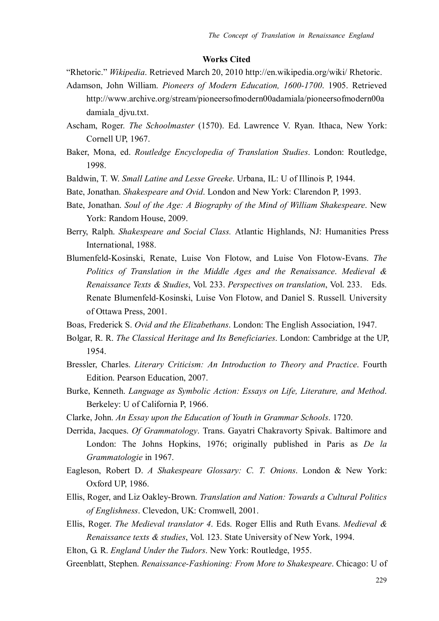#### **Works Cited**

- "Rhetoric." *Wikipedia*. Retrieved March 20, 2010 http://en.wikipedia.org/wiki/ Rhetoric.
- Adamson, John William. *Pioneers of Modern Education, 1600-1700*. 1905. Retrieved http://www.archive.org/stream/pioneersofmodern00adamiala/pioneersofmodern00a damiala\_djvu.txt.
- Ascham, Roger. *The Schoolmaster* (1570). Ed. Lawrence V. Ryan. Ithaca, New York: Cornell UP, 1967.
- Baker, Mona, ed. *Routledge Encyclopedia of Translation Studies*. London: Routledge, 1998.
- Baldwin, T. W. *Small Latine and Lesse Greeke*. Urbana, IL: U of Illinois P, 1944.
- Bate, Jonathan. *Shakespeare and Ovid*. London and New York: Clarendon P, 1993.
- Bate, Jonathan. *Soul of the Age: A Biography of the Mind of William Shakespeare*. New York: Random House, 2009.
- Berry, Ralph. *Shakespeare and Social Class.* Atlantic Highlands, NJ: Humanities Press International, 1988.
- Blumenfeld-Kosinski, Renate, Luise Von Flotow, and Luise Von Flotow-Evans. *The Politics of Translation in the Middle Ages and the Renaissance*. *Medieval & Renaissance Texts & Studies*, Vol. 233. *Perspectives on translation*, Vol. 233. Eds. Renate Blumenfeld-Kosinski, Luise Von Flotow, and Daniel S. Russell. University of Ottawa Press, 2001.
- Boas, Frederick S. *Ovid and the Elizabethans*. London: The English Association, 1947.
- Bolgar, R. R. *The Classical Heritage and Its Beneficiaries*. London: Cambridge at the UP, 1954.
- Bressler, Charles. *Literary Criticism: An Introduction to Theory and Practice*. Fourth Edition. Pearson Education, 2007.
- Burke, Kenneth. *Language as Symbolic Action: Essays on Life, Literature, and Method*. Berkeley: U of California P, 1966.
- Clarke, John. *An Essay upon the Education of Youth in Grammar Schools*. 1720.
- Derrida, Jacques. *Of Grammatology*. Trans. Gayatri Chakravorty Spivak. Baltimore and London: The Johns Hopkins, 1976; originally published in Paris as *De la Grammatologie* in 1967.
- Eagleson, Robert D. *A Shakespeare Glossary: C. T. Onions*. London & New York: Oxford UP, 1986.
- Ellis, Roger, and Liz Oakley-Brown. *Translation and Nation: Towards a Cultural Politics of Englishness*. Clevedon, UK: Cromwell, 2001.
- Ellis, Roger. *The Medieval translator 4*. Eds. Roger Ellis and Ruth Evans. *Medieval & Renaissance texts & studies*, Vol. 123. State University of New York, 1994.
- Elton, G. R. *England Under the Tudors*. New York: Routledge, 1955.
- Greenblatt, Stephen. *Renaissance-Fashioning: From More to Shakespeare*. Chicago: U of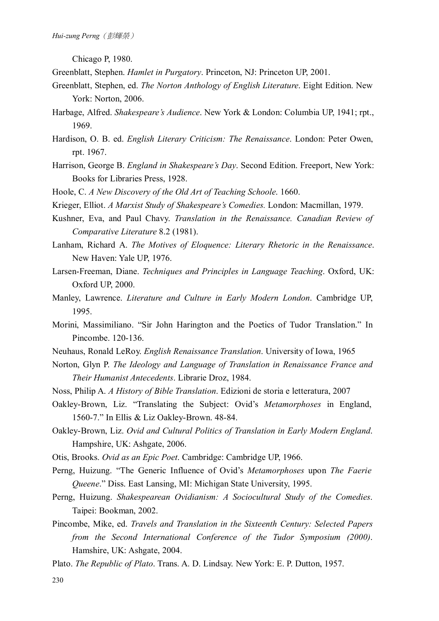Chicago P, 1980.

- Greenblatt, Stephen. *Hamlet in Purgatory*. Princeton, NJ: Princeton UP, 2001.
- Greenblatt, Stephen, ed. *The Norton Anthology of English Literature*. Eight Edition. New York: Norton, 2006.
- Harbage, Alfred. *Shakespeare's Audience*. New York & London: Columbia UP, 1941; rpt., 1969.
- Hardison, O. B. ed. *English Literary Criticism: The Renaissance*. London: Peter Owen, rpt. 1967.
- Harrison, George B. *England in Shakespeare's Day*. Second Edition. Freeport, New York: Books for Libraries Press, 1928.
- Hoole, C. *A New Discovery of the Old Art of Teaching Schoole*. 1660.
- Krieger, Elliot. *A Marxist Study of Shakespeare's Comedies.* London: Macmillan, 1979.
- Kushner, Eva, and Paul Chavy. *Translation in the Renaissance. Canadian Review of Comparative Literature* 8.2 (1981).
- Lanham, Richard A. *The Motives of Eloquence: Literary Rhetoric in the Renaissance*. New Haven: Yale UP, 1976.
- Larsen-Freeman, Diane. *Techniques and Principles in Language Teaching*. Oxford, UK: Oxford UP, 2000.
- Manley, Lawrence. *Literature and Culture in Early Modern London*. Cambridge UP, 1995.
- Morini, Massimiliano. "Sir John Harington and the Poetics of Tudor Translation." In Pincombe. 120-136.
- Neuhaus, Ronald LeRoy. *English Renaissance Translation*. University of Iowa, 1965
- Norton, Glyn P. *The Ideology and Language of Translation in Renaissance France and Their Humanist Antecedents*. Librarie Droz, 1984.
- Noss, Philip A. *A History of Bible Translation*. Edizioni de storia e letteratura, 2007
- Oakley-Brown, Liz. "Translating the Subject: Ovid's *Metamorphoses* in England, 1560-7." In Ellis & Liz Oakley-Brown. 48-84.
- Oakley-Brown, Liz. *Ovid and Cultural Politics of Translation in Early Modern England*. Hampshire, UK: Ashgate, 2006.
- Otis, Brooks. *Ovid as an Epic Poet*. Cambridge: Cambridge UP, 1966.
- Perng, Huizung. "The Generic Influence of Ovid's *Metamorphoses* upon *The Faerie Queene*." Diss. East Lansing, MI: Michigan State University, 1995.
- Perng, Huizung. *Shakespearean Ovidianism: A Sociocultural Study of the Comedies*. Taipei: Bookman, 2002.
- Pincombe, Mike, ed. *Travels and Translation in the Sixteenth Century: Selected Papers from the Second International Conference of the Tudor Symposium (2000)*. Hamshire, UK: Ashgate, 2004.
- Plato. *The Republic of Plato*. Trans. A. D. Lindsay. New York: E. P. Dutton, 1957.